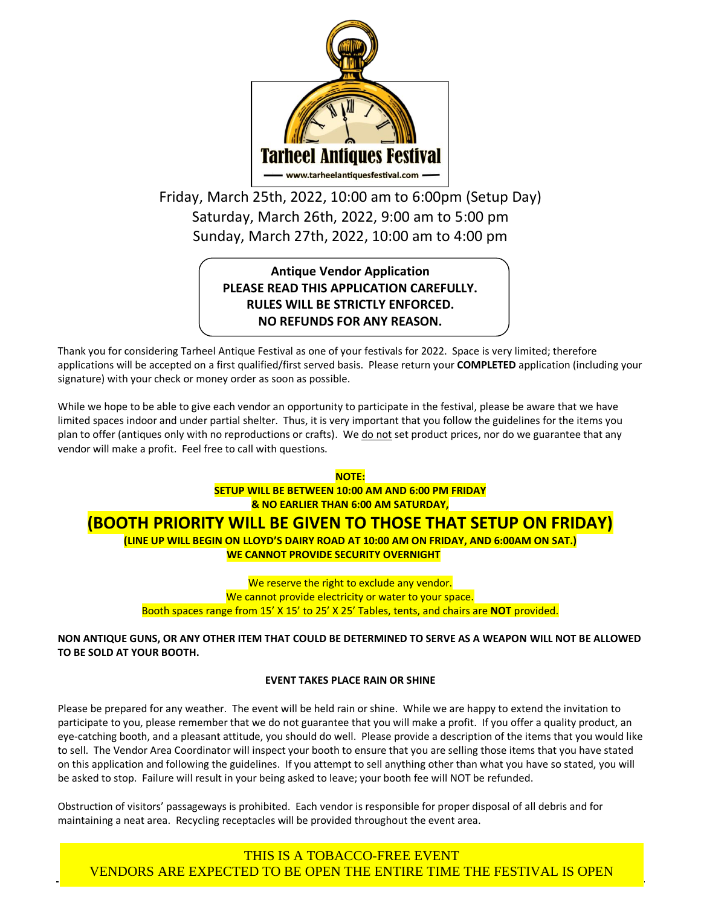

Friday, March 25th, 2022, 10:00 am to 6:00pm (Setup Day) Saturday, March 26th, 2022, 9:00 am to 5:00 pm Sunday, March 27th, 2022, 10:00 am to 4:00 pm

# **Antique Vendor Application PLEASE READ THIS APPLICATION CAREFULLY. RULES WILL BE STRICTLY ENFORCED. NO REFUNDS FOR ANY REASON.**

Thank you for considering Tarheel Antique Festival as one of your festivals for 2022. Space is very limited; therefore applications will be accepted on a first qualified/first served basis. Please return your **COMPLETED** application (including your signature) with your check or money order as soon as possible.

While we hope to be able to give each vendor an opportunity to participate in the festival, please be aware that we have limited spaces indoor and under partial shelter. Thus, it is very important that you follow the guidelines for the items you plan to offer (antiques only with no reproductions or crafts). We do not set product prices, nor do we guarantee that any vendor will make a profit. Feel free to call with questions.

> **NOTE: SETUP WILL BE BETWEEN 10:00 AM AND 6:00 PM FRIDAY & NO EARLIER THAN 6:00 AM SATURDAY,**

# **(BOOTH PRIORITY WILL BE GIVEN TO THOSE THAT SETUP ON FRIDAY)**

**(LINE UP WILL BEGIN ON LLOYD'S DAIRY ROAD AT 10:00 AM ON FRIDAY, AND 6:00AM ON SAT.) WE CANNOT PROVIDE SECURITY OVERNIGHT**

We reserve the right to exclude any vendor. We cannot provide electricity or water to your space. Booth spaces range from 15' X 15' to 25' X 25' Tables, tents, and chairs are **NOT** provided.

## **NON ANTIQUE GUNS, OR ANY OTHER ITEM THAT COULD BE DETERMINED TO SERVE AS A WEAPON WILL NOT BE ALLOWED TO BE SOLD AT YOUR BOOTH.**

## **EVENT TAKES PLACE RAIN OR SHINE**

Please be prepared for any weather. The event will be held rain or shine. While we are happy to extend the invitation to participate to you, please remember that we do not guarantee that you will make a profit. If you offer a quality product, an eye-catching booth, and a pleasant attitude, you should do well. Please provide a description of the items that you would like to sell. The Vendor Area Coordinator will inspect your booth to ensure that you are selling those items that you have stated on this application and following the guidelines. If you attempt to sell anything other than what you have so stated, you will be asked to stop. Failure will result in your being asked to leave; your booth fee will NOT be refunded.

Obstruction of visitors' passageways is prohibited. Each vendor is responsible for proper disposal of all debris and for maintaining a neat area. Recycling receptacles will be provided throughout the event area.

THIS IS A TOBACCO-FREE EVENT VENDORS ARE EXPECTED TO BE OPEN THE ENTIRE TIME THE FESTIVAL IS OPEN